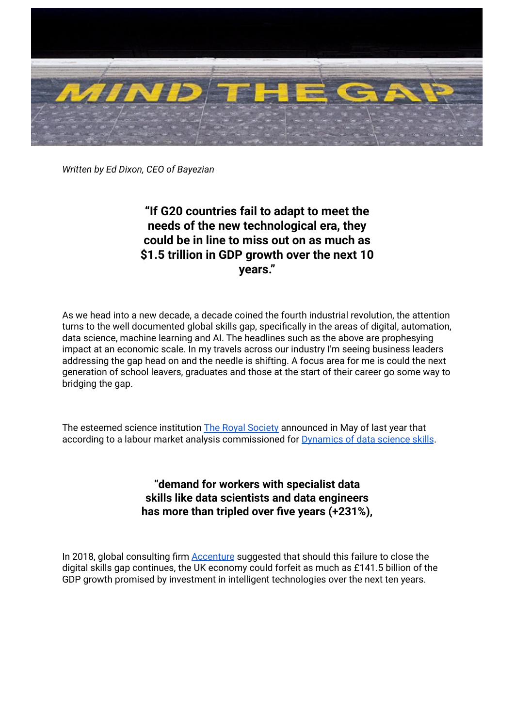

*Written by Ed Dixon, CEO of Bayezian*

# **"If G20 countries fail to adapt to meet the needs of the new technological era, they could be in line to miss out on as much as \$1.5 trillion in GDP growth over the next 10 years."**

As we head into a new decade, a decade coined the fourth industrial revolution, the attention turns to the well documented global skills gap, specifically in the areas of digital, automation, data science, machine learning and AI. The headlines such as the above are prophesying impact at an economic scale. In my travels across our industry I'm seeing business leaders addressing the gap head on and the needle is shifting. A focus area for me is could the next generation of school leavers, graduates and those at the start of their career go some way to bridging the gap.

The esteemed science institution The Royal [Society](https://royalsociety.org/news/2019/05/data-science-skills-shortages/) announced in May of last year that according to a labour market analysis commissioned for **[Dynamics](https://royalsociety.org/topics-policy/projects/dynamics-of-data-science) of data science skills**.

> **"demand for workers with specialist data skills like data scientists and data engineers has more than tripled over five years (+231%),**

In 2018, global consulting firm [Accenture](https://www.consultancy.uk/firms/accenture) suggested that should this failure to close the digital skills gap continues, the UK economy could forfeit as much as £141.5 billion of the GDP growth promised by investment in intelligent technologies over the next ten years.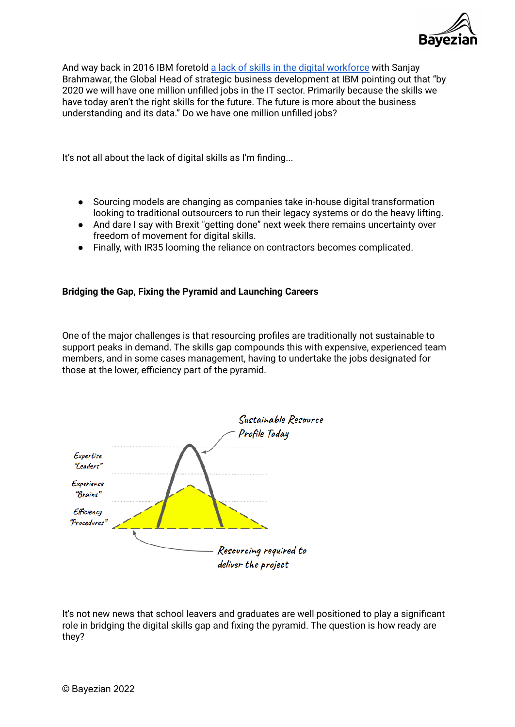

And way back in 2016 IBM foretold a lack of skills in the digital [workforce](http://www.cityam.com/240180/ibm-warns-of-looming-skills-gap-due-to-big-data-and-analytics) with Sanjay Brahmawar, the Global Head of strategic business development at IBM pointing out that "by 2020 we will have one million unfilled jobs in the IT sector. Primarily because the skills we have today aren't the right skills for the future. The future is more about the business understanding and its data." Do we have one million unfilled jobs?

It's not all about the lack of digital skills as I'm finding...

- Sourcing models are changing as companies take in-house digital transformation looking to traditional outsourcers to run their legacy systems or do the heavy lifting.
- And dare I say with Brexit "getting done" next week there remains uncertainty over freedom of movement for digital skills.
- Finally, with IR35 looming the reliance on contractors becomes complicated.

#### **Bridging the Gap, Fixing the Pyramid and Launching Careers**

One of the major challenges is that resourcing profiles are traditionally not sustainable to support peaks in demand. The skills gap compounds this with expensive, experienced team members, and in some cases management, having to undertake the jobs designated for those at the lower, efficiency part of the pyramid.



It's not new news that school leavers and graduates are well positioned to play a significant role in bridging the digital skills gap and fixing the pyramid. The question is how ready are they?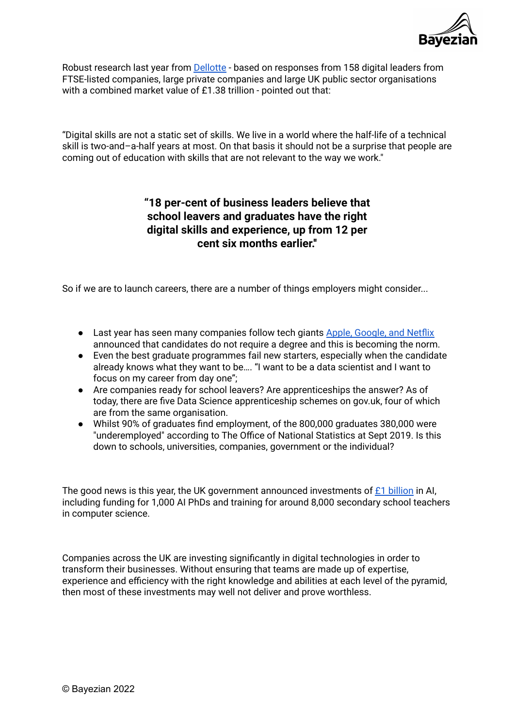

Robust research last year from **[Dellotte](https://www2.deloitte.com/uk/en/pages/press-releases/articles/digital-skills-gap-narrows-but-still-persists-from-classroom-to-boardroom.html)** - based on responses from 158 digital leaders from FTSE-listed companies, large private companies and large UK public sector organisations with a combined market value of £1.38 trillion - pointed out that:

"Digital skills are not a static set of skills. We live in a world where the half-life of a technical skill is two-and–a-half years at most. On that basis it should not be a surprise that people are coming out of education with skills that are not relevant to the way we work."

### **"18 per-cent of business leaders believe that school leavers and graduates have the right digital skills and experience, up from 12 per cent six months earlier.''**

So if we are to launch careers, there are a number of things employers might consider...

- Last year has seen many companies follow tech giants Apple, [Google,](https://www.businessinsider.com/top-companies-are-hiring-more-candidates-without-a-4-year-degree-2019-4?r=US&IR=T) and Netflix announced that candidates do not require a degree and this is becoming the norm.
- Even the best graduate programmes fail new starters, especially when the candidate already knows what they want to be…. "I want to be a data scientist and I want to focus on my career from day one";
- Are companies ready for school leavers? Are apprenticeships the answer? As of today, there are five Data Science apprenticeship schemes on gov.uk, four of which are from the same organisation.
- Whilst 90% of graduates find employment, of the 800,000 graduates 380,000 were "underemployed" according to The Office of National Statistics at Sept 2019. Is this down to schools, universities, companies, government or the individual?

The good news is this year, the UK government announced investments of  $E1$  [billion](https://www.computerworld.com/article/3427683/uk-government-announces--1-billion-investment-in-ai.html) in AI, including funding for 1,000 AI PhDs and training for around 8,000 secondary school teachers in computer science.

Companies across the UK are investing significantly in digital technologies in order to transform their businesses. Without ensuring that teams are made up of expertise, experience and efficiency with the right knowledge and abilities at each level of the pyramid, then most of these investments may well not deliver and prove worthless.